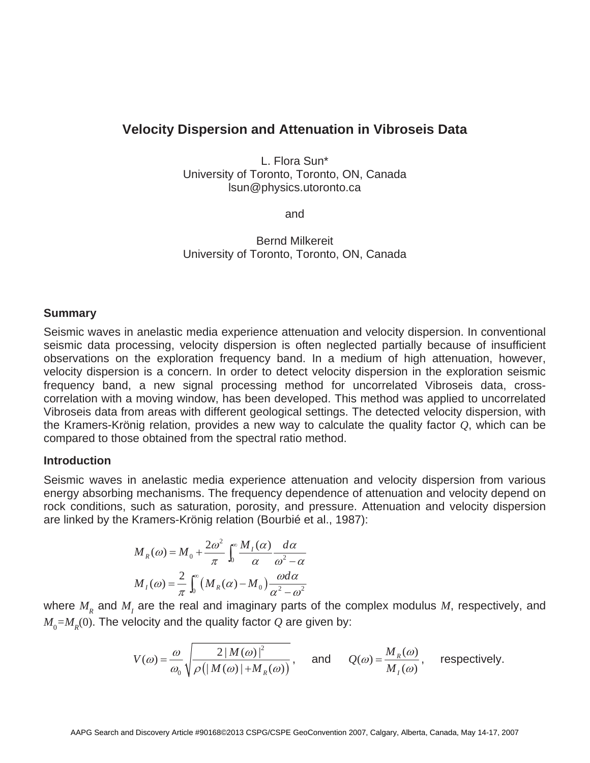# **Velocity Dispersion and Attenuation in Vibroseis Data**

L. Flora Sun\* University of Toronto, Toronto, ON, Canada lsun@physics.utoronto.ca

and

Bernd Milkereit University of Toronto, Toronto, ON, Canada

#### **Summary**

Seismic waves in anelastic media experience attenuation and velocity dispersion. In conventional seismic data processing, velocity dispersion is often neglected partially because of insufficient observations on the exploration frequency band. In a medium of high attenuation, however, velocity dispersion is a concern. In order to detect velocity dispersion in the exploration seismic frequency band, a new signal processing method for uncorrelated Vibroseis data, crosscorrelation with a moving window, has been developed. This method was applied to uncorrelated Vibroseis data from areas with different geological settings. The detected velocity dispersion, with the Kramers-Krönig relation, provides a new way to calculate the quality factor *Q*, which can be compared to those obtained from the spectral ratio method.

## **Introduction**

Seismic waves in anelastic media experience attenuation and velocity dispersion from various energy absorbing mechanisms. The frequency dependence of attenuation and velocity depend on rock conditions, such as saturation, porosity, and pressure. Attenuation and velocity dispersion are linked by the Kramers-Krönig relation (Bourbié et al., 1987):

$$
M_R(\omega) = M_0 + \frac{2\omega^2}{\pi} \int_0^\infty \frac{M_I(\alpha)}{\alpha} \frac{d\alpha}{\omega^2 - \alpha}
$$

$$
M_I(\omega) = \frac{2}{\pi} \int_0^\infty (M_R(\alpha) - M_0) \frac{\omega d\alpha}{\alpha^2 - \omega^2}
$$

where  $M_{R}$  and  $M_{I}$  are the real and imaginary parts of the complex modulus  $M$ , respectively, and  $M_{0}$ = $M_{R}$ (0). The velocity and the quality factor  $Q$  are given by:

$$
V(\omega) = \frac{\omega}{\omega_0} \sqrt{\frac{2 |M(\omega)|^2}{\rho \left( |M(\omega)| + M_R(\omega) \right)}}
$$
, and  $Q(\omega) = \frac{M_R(\omega)}{M_I(\omega)}$ , respectively.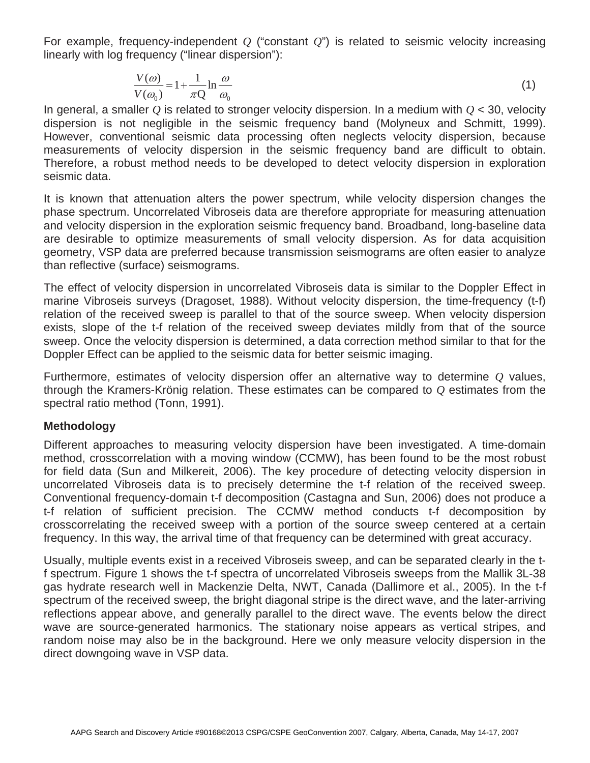For example, frequency-independent *Q* ("constant *Q*") is related to seismic velocity increasing linearly with log frequency ("linear dispersion"):

$$
\frac{V(\omega)}{V(\omega_0)} = 1 + \frac{1}{\pi Q} \ln \frac{\omega}{\omega_0}
$$
\n(1)

In general, a smaller *Q* is related to stronger velocity dispersion. In a medium with *Q* < 30, velocity dispersion is not negligible in the seismic frequency band (Molyneux and Schmitt, 1999). However, conventional seismic data processing often neglects velocity dispersion, because measurements of velocity dispersion in the seismic frequency band are difficult to obtain. Therefore, a robust method needs to be developed to detect velocity dispersion in exploration seismic data.

It is known that attenuation alters the power spectrum, while velocity dispersion changes the phase spectrum. Uncorrelated Vibroseis data are therefore appropriate for measuring attenuation and velocity dispersion in the exploration seismic frequency band. Broadband, long-baseline data are desirable to optimize measurements of small velocity dispersion. As for data acquisition geometry, VSP data are preferred because transmission seismograms are often easier to analyze than reflective (surface) seismograms.

The effect of velocity dispersion in uncorrelated Vibroseis data is similar to the Doppler Effect in marine Vibroseis surveys (Dragoset, 1988). Without velocity dispersion, the time-frequency (t-f) relation of the received sweep is parallel to that of the source sweep. When velocity dispersion exists, slope of the t-f relation of the received sweep deviates mildly from that of the source sweep. Once the velocity dispersion is determined, a data correction method similar to that for the Doppler Effect can be applied to the seismic data for better seismic imaging.

Furthermore, estimates of velocity dispersion offer an alternative way to determine *Q* values, through the Kramers-Krönig relation. These estimates can be compared to *Q* estimates from the spectral ratio method (Tonn, 1991).

# **Methodology**

Different approaches to measuring velocity dispersion have been investigated. A time-domain method, crosscorrelation with a moving window (CCMW), has been found to be the most robust for field data (Sun and Milkereit, 2006). The key procedure of detecting velocity dispersion in uncorrelated Vibroseis data is to precisely determine the t-f relation of the received sweep. Conventional frequency-domain t-f decomposition (Castagna and Sun, 2006) does not produce a t-f relation of sufficient precision. The CCMW method conducts t-f decomposition by crosscorrelating the received sweep with a portion of the source sweep centered at a certain frequency. In this way, the arrival time of that frequency can be determined with great accuracy.

Usually, multiple events exist in a received Vibroseis sweep, and can be separated clearly in the tf spectrum. Figure 1 shows the t-f spectra of uncorrelated Vibroseis sweeps from the Mallik 3L-38 gas hydrate research well in Mackenzie Delta, NWT, Canada (Dallimore et al., 2005). In the t-f spectrum of the received sweep, the bright diagonal stripe is the direct wave, and the later-arriving reflections appear above, and generally parallel to the direct wave. The events below the direct wave are source-generated harmonics. The stationary noise appears as vertical stripes, and random noise may also be in the background. Here we only measure velocity dispersion in the direct downgoing wave in VSP data.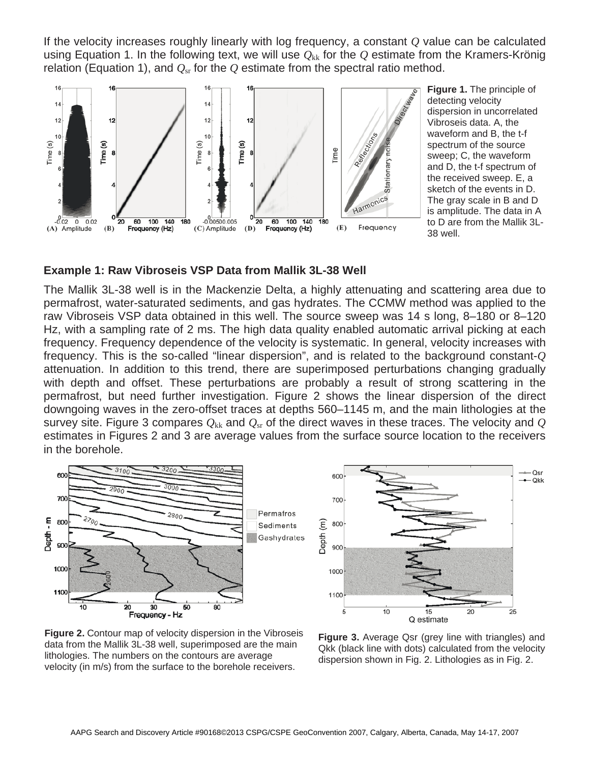If the velocity increases roughly linearly with log frequency, a constant *Q* value can be calculated using Equation 1. In the following text, we will use  $Q_{kk}$  for the  $Q$  estimate from the Kramers-Krönig relation (Equation 1), and  $Q_{\rm sr}$  for the  $Q$  estimate from the spectral ratio method.



**Figure 1.** The principle of detecting velocity dispersion in uncorrelated Vibroseis data. A, the waveform and B, the t-f spectrum of the source sweep; C, the waveform and D, the t-f spectrum of the received sweep. E, a sketch of the events in D. The gray scale in B and D is amplitude. The data in A to D are from the Mallik 3L-38 well.

## **Example 1: Raw Vibroseis VSP Data from Mallik 3L-38 Well**

The Mallik 3L-38 well is in the Mackenzie Delta, a highly attenuating and scattering area due to permafrost, water-saturated sediments, and gas hydrates. The CCMW method was applied to the raw Vibroseis VSP data obtained in this well. The source sweep was 14 s long, 8–180 or 8–120 Hz, with a sampling rate of 2 ms. The high data quality enabled automatic arrival picking at each frequency. Frequency dependence of the velocity is systematic. In general, velocity increases with frequency. This is the so-called "linear dispersion", and is related to the background constant-*Q* attenuation. In addition to this trend, there are superimposed perturbations changing gradually with depth and offset. These perturbations are probably a result of strong scattering in the permafrost, but need further investigation. Figure 2 shows the linear dispersion of the direct downgoing waves in the zero-offset traces at depths 560–1145 m, and the main lithologies at the survey site. Figure 3 compares  $Q_{kk}$  and  $Q_{sr}$  of the direct waves in these traces. The velocity and  $Q$ estimates in Figures 2 and 3 are average values from the surface source location to the receivers in the borehole.





**Figure 2.** Contour map of velocity dispersion in the Vibroseis data from the Mallik 3L-38 well, superimposed are the main lithologies. The numbers on the contours are average velocity (in m/s) from the surface to the borehole receivers.

**Figure 3.** Average Qsr (grey line with triangles) and Qkk (black line with dots) calculated from the velocity dispersion shown in Fig. 2. Lithologies as in Fig. 2.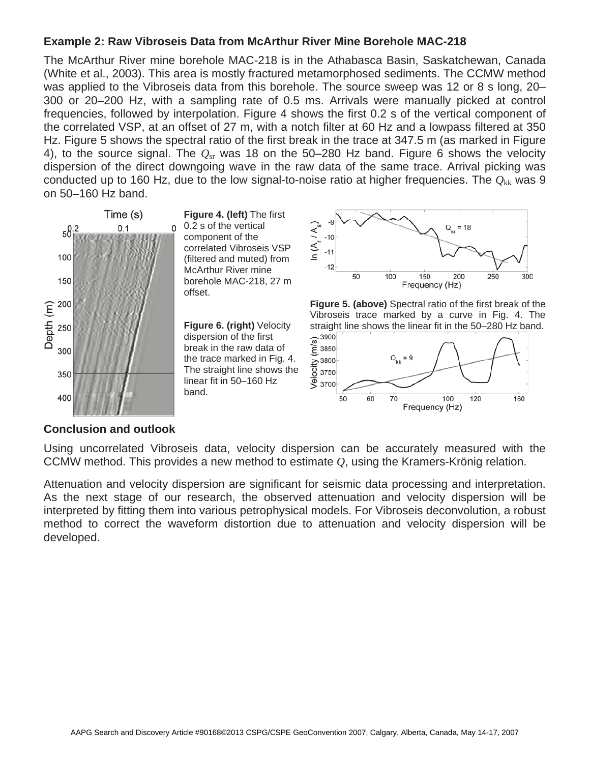# **Example 2: Raw Vibroseis Data from McArthur River Mine Borehole MAC-218**

The McArthur River mine borehole MAC-218 is in the Athabasca Basin, Saskatchewan, Canada (White et al., 2003). This area is mostly fractured metamorphosed sediments. The CCMW method was applied to the Vibroseis data from this borehole. The source sweep was 12 or 8 s long, 20– 300 or 20–200 Hz, with a sampling rate of 0.5 ms. Arrivals were manually picked at control frequencies, followed by interpolation. Figure 4 shows the first 0.2 s of the vertical component of the correlated VSP, at an offset of 27 m, with a notch filter at 60 Hz and a lowpass filtered at 350 Hz. Figure 5 shows the spectral ratio of the first break in the trace at 347.5 m (as marked in Figure 4), to the source signal. The *Q*sr was 18 on the 50–280 Hz band. Figure 6 shows the velocity dispersion of the direct downgoing wave in the raw data of the same trace. Arrival picking was conducted up to 160 Hz, due to the low signal-to-noise ratio at higher frequencies. The  $Q_{kk}$  was 9 on 50–160 Hz band.



**Figure 4. (left)** The first 0.2 s of the vertical component of the correlated Vibroseis VSP (filtered and muted) from McArthur River mine borehole MAC-218, 27 m offset.

**Figure 6. (right)** Velocity dispersion of the first break in the raw data of the trace marked in Fig. 4. The straight line shows the linear fit in 50–160 Hz band.







## **Conclusion and outlook**

Using uncorrelated Vibroseis data, velocity dispersion can be accurately measured with the CCMW method. This provides a new method to estimate *Q*, using the Kramers-Krönig relation.

Attenuation and velocity dispersion are significant for seismic data processing and interpretation. As the next stage of our research, the observed attenuation and velocity dispersion will be interpreted by fitting them into various petrophysical models. For Vibroseis deconvolution, a robust method to correct the waveform distortion due to attenuation and velocity dispersion will be developed.